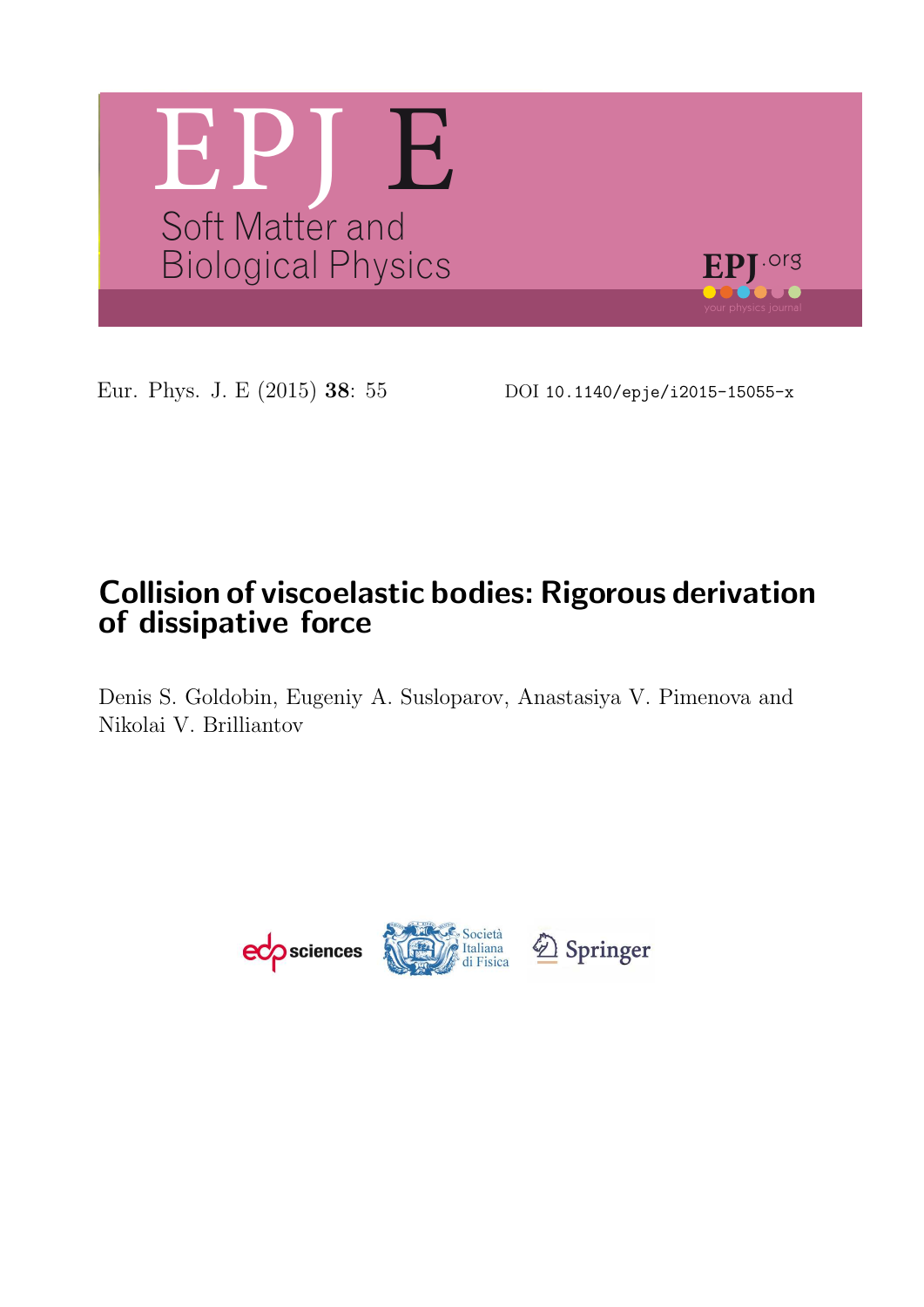

Eur. Phys. J. E (2015) 38: 55 DOI 10.1140/epje/i2015-15055-x

# Collision of viscoelastic bodies: Rigorous derivation of dissipative force

Denis S. Goldobin, Eugeniy A. Susloparov, Anastasiya V. Pimenova and Nikolai V. Brilliantov

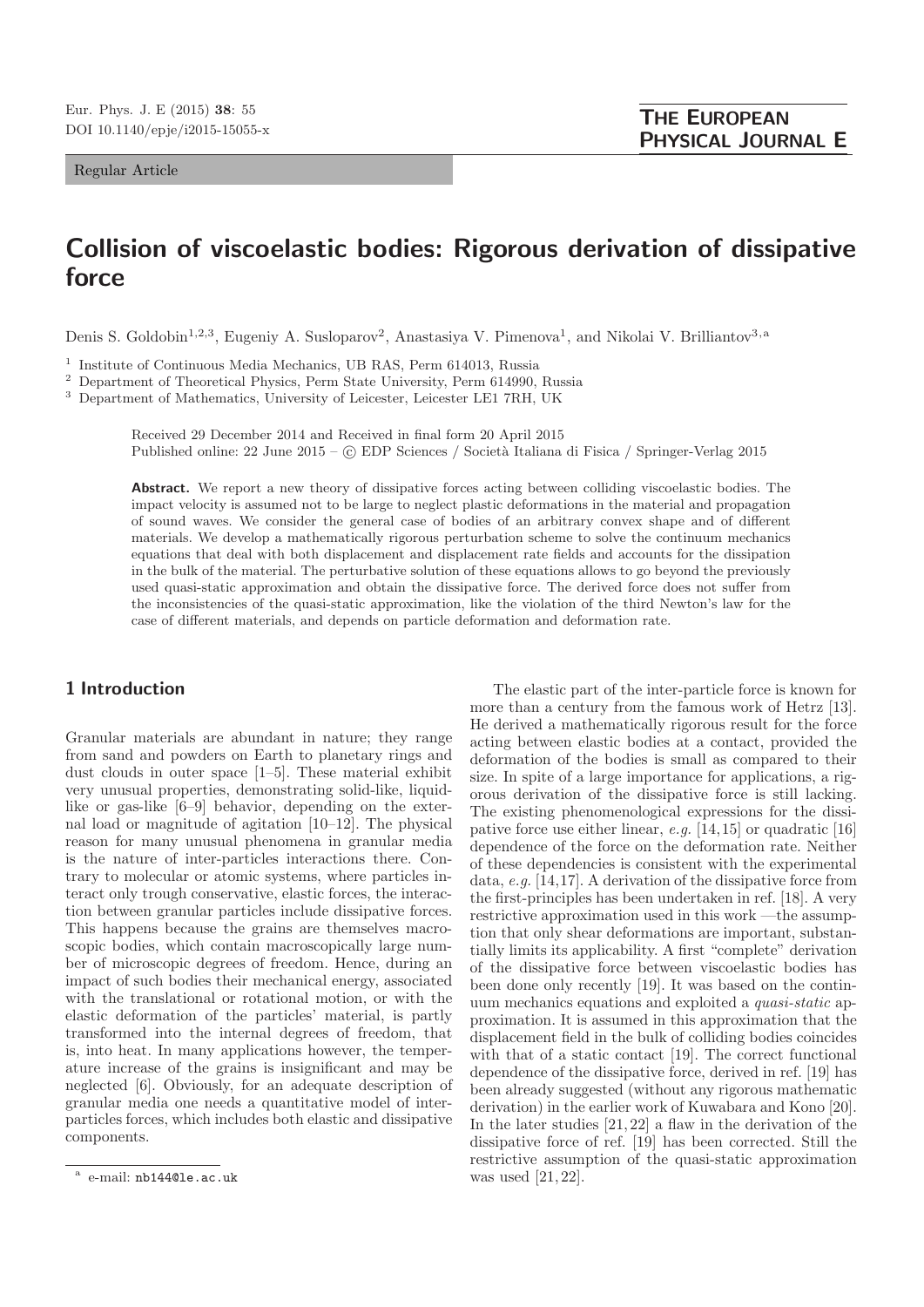Regular Article

# Collision of viscoelastic bodies: Rigorous derivation of dissipative force

Denis S. Goldobin<sup>1,2,3</sup>, Eugeniy A. Susloparov<sup>2</sup>, Anastasiya V. Pimenova<sup>1</sup>, and Nikolai V. Brilliantov<sup>3, a</sup>

<sup>1</sup> Institute of Continuous Media Mechanics, UB RAS, Perm 614013, Russia

<sup>2</sup> Department of Theoretical Physics, Perm State University, Perm 614990, Russia

<sup>3</sup> Department of Mathematics, University of Leicester, Leicester LE1 7RH, UK

Received 29 December 2014 and Received in final form 20 April 2015 Published online: 22 June 2015 – © EDP Sciences / Società Italiana di Fisica / Springer-Verlag 2015

Abstract. We report a new theory of dissipative forces acting between colliding viscoelastic bodies. The impact velocity is assumed not to be large to neglect plastic deformations in the material and propagation of sound waves. We consider the general case of bodies of an arbitrary convex shape and of different materials. We develop a mathematically rigorous perturbation scheme to solve the continuum mechanics equations that deal with both displacement and displacement rate fields and accounts for the dissipation in the bulk of the material. The perturbative solution of these equations allows to go beyond the previously used quasi-static approximation and obtain the dissipative force. The derived force does not suffer from the inconsistencies of the quasi-static approximation, like the violation of the third Newton's law for the case of different materials, and depends on particle deformation and deformation rate.

### 1 Introduction

Granular materials are abundant in nature; they range from sand and powders on Earth to planetary rings and dust clouds in outer space [1–5]. These material exhibit very unusual properties, demonstrating solid-like, liquidlike or gas-like [6–9] behavior, depending on the external load or magnitude of agitation [10–12]. The physical reason for many unusual phenomena in granular media is the nature of inter-particles interactions there. Contrary to molecular or atomic systems, where particles interact only trough conservative, elastic forces, the interaction between granular particles include dissipative forces. This happens because the grains are themselves macroscopic bodies, which contain macroscopically large number of microscopic degrees of freedom. Hence, during an impact of such bodies their mechanical energy, associated with the translational or rotational motion, or with the elastic deformation of the particles' material, is partly transformed into the internal degrees of freedom, that is, into heat. In many applications however, the temperature increase of the grains is insignificant and may be neglected [6]. Obviously, for an adequate description of granular media one needs a quantitative model of interparticles forces, which includes both elastic and dissipative components.

The elastic part of the inter-particle force is known for more than a century from the famous work of Hetrz [13]. He derived a mathematically rigorous result for the force acting between elastic bodies at a contact, provided the deformation of the bodies is small as compared to their size. In spite of a large importance for applications, a rigorous derivation of the dissipative force is still lacking. The existing phenomenological expressions for the dissipative force use either linear,  $e.g.$  [14,15] or quadratic [16] dependence of the force on the deformation rate. Neither of these dependencies is consistent with the experimental data, e.g. [14,17]. A derivation of the dissipative force from the first-principles has been undertaken in ref. [18]. A very restrictive approximation used in this work —the assumption that only shear deformations are important, substantially limits its applicability. A first "complete" derivation of the dissipative force between viscoelastic bodies has been done only recently [19]. It was based on the continuum mechanics equations and exploited a quasi-static approximation. It is assumed in this approximation that the displacement field in the bulk of colliding bodies coincides with that of a static contact [19]. The correct functional dependence of the dissipative force, derived in ref. [19] has been already suggested (without any rigorous mathematic derivation) in the earlier work of Kuwabara and Kono [20]. In the later studies [21, 22] a flaw in the derivation of the dissipative force of ref. [19] has been corrected. Still the restrictive assumption of the quasi-static approximation was used [21, 22].

a e-mail: nb144@le.ac.uk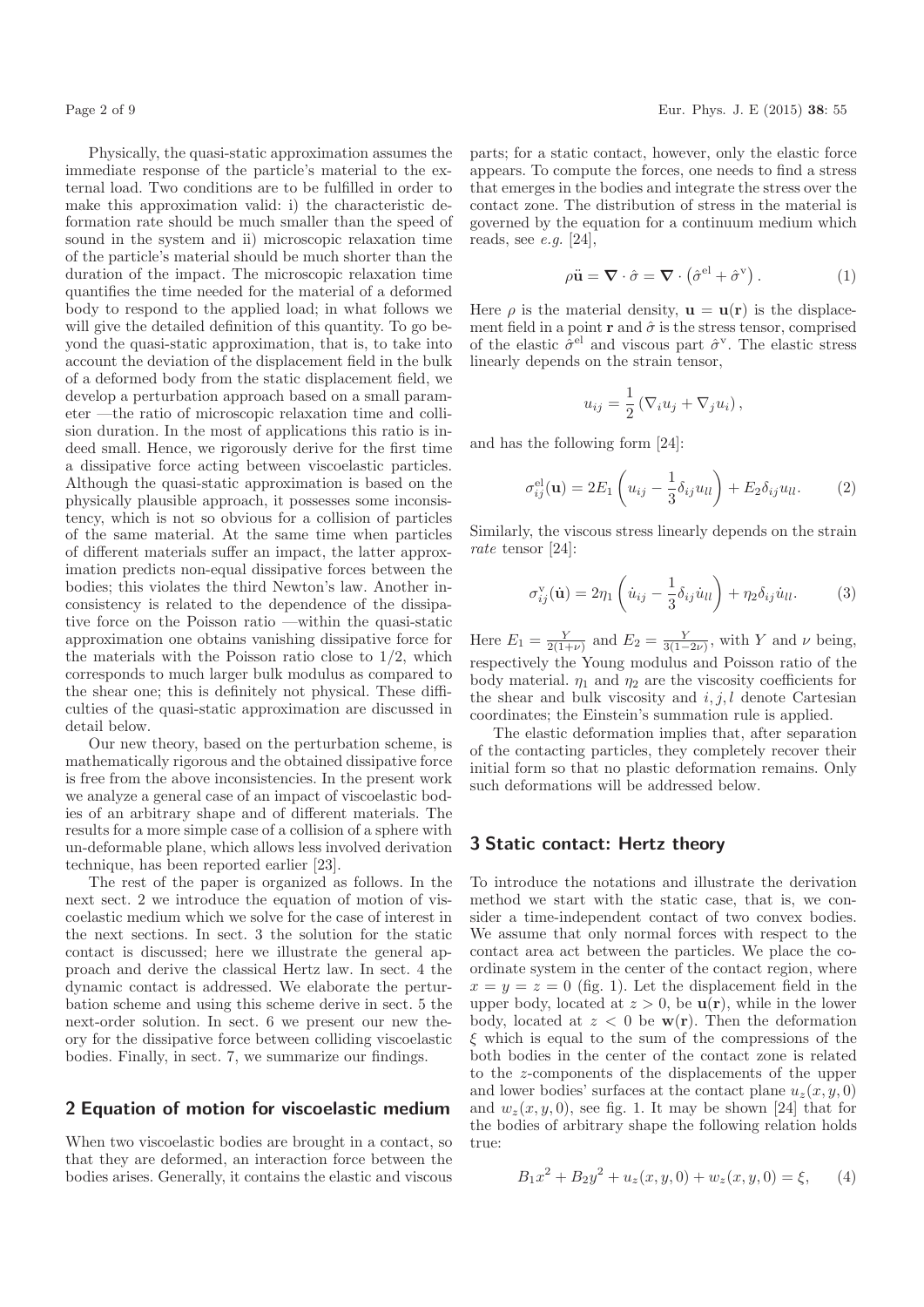Physically, the quasi-static approximation assumes the immediate response of the particle's material to the external load. Two conditions are to be fulfilled in order to make this approximation valid: i) the characteristic deformation rate should be much smaller than the speed of sound in the system and ii) microscopic relaxation time of the particle's material should be much shorter than the duration of the impact. The microscopic relaxation time quantifies the time needed for the material of a deformed body to respond to the applied load; in what follows we will give the detailed definition of this quantity. To go beyond the quasi-static approximation, that is, to take into account the deviation of the displacement field in the bulk of a deformed body from the static displacement field, we develop a perturbation approach based on a small parameter —the ratio of microscopic relaxation time and collision duration. In the most of applications this ratio is indeed small. Hence, we rigorously derive for the first time a dissipative force acting between viscoelastic particles. Although the quasi-static approximation is based on the physically plausible approach, it possesses some inconsistency, which is not so obvious for a collision of particles of the same material. At the same time when particles of different materials suffer an impact, the latter approximation predicts non-equal dissipative forces between the bodies; this violates the third Newton's law. Another inconsistency is related to the dependence of the dissipative force on the Poisson ratio —within the quasi-static approximation one obtains vanishing dissipative force for the materials with the Poisson ratio close to  $1/2$ , which corresponds to much larger bulk modulus as compared to the shear one; this is definitely not physical. These difficulties of the quasi-static approximation are discussed in detail below.

Our new theory, based on the perturbation scheme, is mathematically rigorous and the obtained dissipative force is free from the above inconsistencies. In the present work we analyze a general case of an impact of viscoelastic bodies of an arbitrary shape and of different materials. The results for a more simple case of a collision of a sphere with un-deformable plane, which allows less involved derivation technique, has been reported earlier [23].

The rest of the paper is organized as follows. In the next sect. 2 we introduce the equation of motion of viscoelastic medium which we solve for the case of interest in the next sections. In sect. 3 the solution for the static contact is discussed; here we illustrate the general approach and derive the classical Hertz law. In sect. 4 the dynamic contact is addressed. We elaborate the perturbation scheme and using this scheme derive in sect. 5 the next-order solution. In sect. 6 we present our new theory for the dissipative force between colliding viscoelastic bodies. Finally, in sect. 7, we summarize our findings.

#### 2 Equation of motion for viscoelastic medium

When two viscoelastic bodies are brought in a contact, so that they are deformed, an interaction force between the bodies arises. Generally, it contains the elastic and viscous parts; for a static contact, however, only the elastic force appears. To compute the forces, one needs to find a stress that emerges in the bodies and integrate the stress over the contact zone. The distribution of stress in the material is governed by the equation for a continuum medium which reads, see  $e.g.$  [24],

$$
\rho \ddot{\mathbf{u}} = \nabla \cdot \hat{\sigma} = \nabla \cdot (\hat{\sigma}^{\text{el}} + \hat{\sigma}^{\text{v}}) . \tag{1}
$$

Here  $\rho$  is the material density,  $\mathbf{u} = \mathbf{u}(\mathbf{r})$  is the displacement field in a point r and  $\hat{\sigma}$  is the stress tensor, comprised of the elastic  $\hat{\sigma}^{\text{el}}$  and viscous part  $\hat{\sigma}^{\text{v}}$ . The elastic stress linearly depends on the strain tensor,

$$
u_{ij} = \frac{1}{2} \left( \nabla_i u_j + \nabla_j u_i \right),
$$

and has the following form [24]:

$$
\sigma_{ij}^{\text{el}}(\mathbf{u}) = 2E_1 \left( u_{ij} - \frac{1}{3} \delta_{ij} u_{ll} \right) + E_2 \delta_{ij} u_{ll}. \tag{2}
$$

Similarly, the viscous stress linearly depends on the strain rate tensor [24]:

$$
\sigma_{ij}^{\mathbf{v}}(\dot{\mathbf{u}}) = 2\eta_1 \left( \dot{u}_{ij} - \frac{1}{3} \delta_{ij} \dot{u}_{ll} \right) + \eta_2 \delta_{ij} \dot{u}_{ll}. \tag{3}
$$

Here  $E_1 = \frac{Y}{2(1+\nu)}$  and  $E_2 = \frac{Y}{3(1-2\nu)}$ , with Y and  $\nu$  being, respectively the Young modulus and Poisson ratio of the body material.  $\eta_1$  and  $\eta_2$  are the viscosity coefficients for the shear and bulk viscosity and  $i, j, l$  denote Cartesian coordinates; the Einstein's summation rule is applied.

The elastic deformation implies that, after separation of the contacting particles, they completely recover their initial form so that no plastic deformation remains. Only such deformations will be addressed below.

#### 3 Static contact: Hertz theory

To introduce the notations and illustrate the derivation method we start with the static case, that is, we consider a time-independent contact of two convex bodies. We assume that only normal forces with respect to the contact area act between the particles. We place the coordinate system in the center of the contact region, where  $x = y = z = 0$  (fig. 1). Let the displacement field in the upper body, located at  $z > 0$ , be  $\mathbf{u}(\mathbf{r})$ , while in the lower body, located at  $z < 0$  be  $w(r)$ . Then the deformation  $\xi$  which is equal to the sum of the compressions of the both bodies in the center of the contact zone is related to the z-components of the displacements of the upper and lower bodies' surfaces at the contact plane  $u_z(x, y, 0)$ and  $w_z(x, y, 0)$ , see fig. 1. It may be shown [24] that for the bodies of arbitrary shape the following relation holds true:

$$
B_1x^2 + B_2y^2 + u_z(x, y, 0) + w_z(x, y, 0) = \xi, \qquad (4)
$$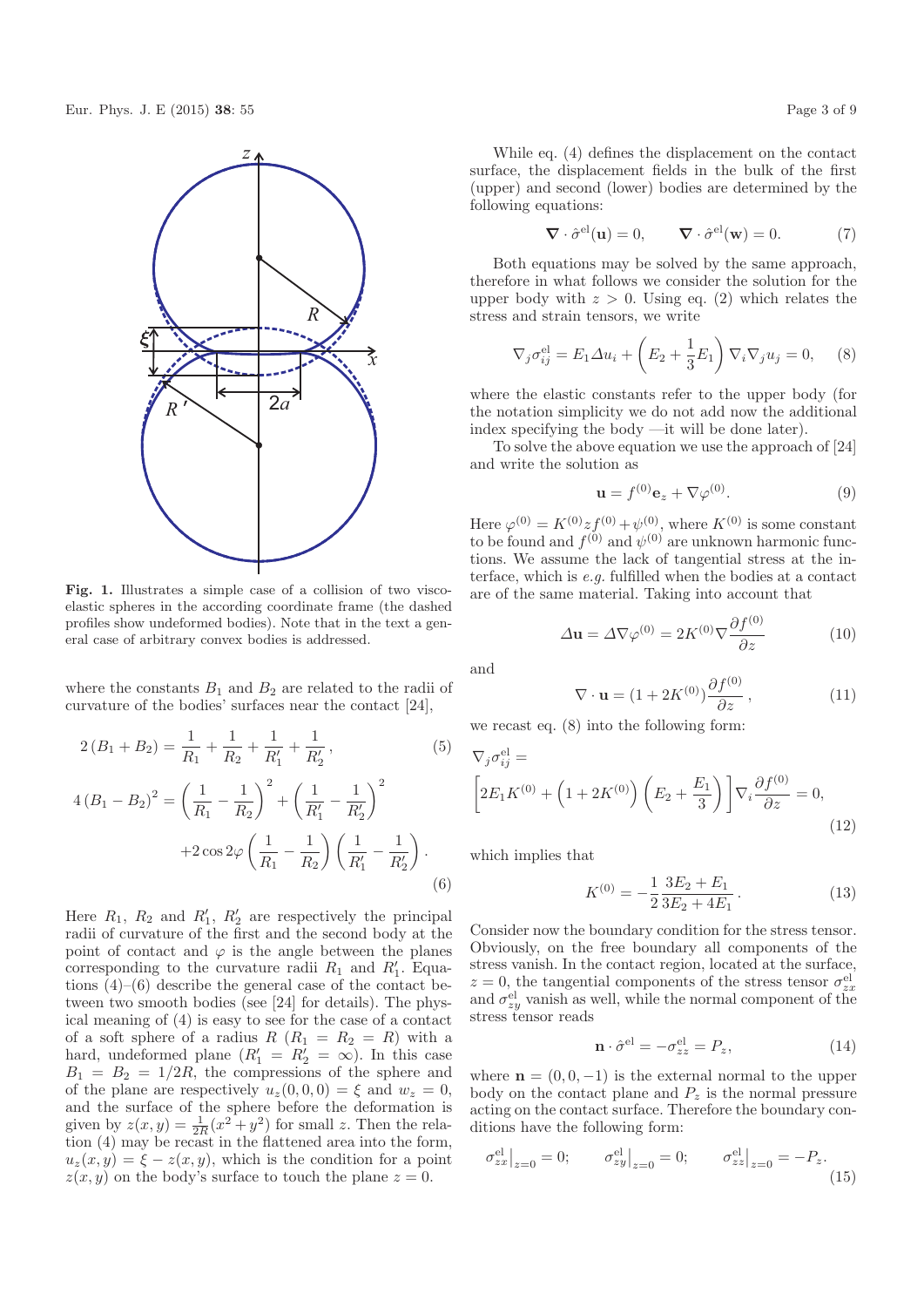

Fig. 1. Illustrates a simple case of a collision of two viscoelastic spheres in the according coordinate frame (the dashed profiles show undeformed bodies). Note that in the text a general case of arbitrary convex bodies is addressed.

where the constants  $B_1$  and  $B_2$  are related to the radii of curvature of the bodies' surfaces near the contact [24],

$$
2(B_1 + B_2) = \frac{1}{R_1} + \frac{1}{R_2} + \frac{1}{R'_1} + \frac{1}{R'_2},
$$
(5)  

$$
4(B_1 - B_2)^2 = \left(\frac{1}{R_1} - \frac{1}{R_2}\right)^2 + \left(\frac{1}{R'_1} - \frac{1}{R'_2}\right)^2
$$

$$
+ 2\cos 2\varphi \left(\frac{1}{R_1} - \frac{1}{R_2}\right) \left(\frac{1}{R'_1} - \frac{1}{R'_2}\right).
$$
(6)

Here  $R_1$ ,  $R_2$  and  $R'_1$ ,  $R'_2$  are respectively the principal radii of curvature of the first and the second body at the point of contact and  $\varphi$  is the angle between the planes corresponding to the curvature radii  $R_1$  and  $R'_1$ . Equations (4)–(6) describe the general case of the contact between two smooth bodies (see [24] for details). The physical meaning of (4) is easy to see for the case of a contact of a soft sphere of a radius  $R(R_1 = R_2 = R)$  with a hard, undeformed plane  $(R'_1 = R'_2 = \infty)$ . In this case  $B_1 = B_2 = 1/2R$ , the compressions of the sphere and of the plane are respectively  $u_z(0, 0, 0) = \xi$  and  $w_z = 0$ , and the surface of the sphere before the deformation is given by  $z(x, y) = \frac{1}{2R}(x^2 + y^2)$  for small z. Then the relation (4) may be recast in the flattened area into the form,  $u_z(x, y) = \xi - z(x, y)$ , which is the condition for a point  $z(x, y)$  on the body's surface to touch the plane  $z = 0$ .

While eq. (4) defines the displacement on the contact surface, the displacement fields in the bulk of the first (upper) and second (lower) bodies are determined by the following equations:

$$
\nabla \cdot \hat{\sigma}^{\text{el}}(\mathbf{u}) = 0, \qquad \nabla \cdot \hat{\sigma}^{\text{el}}(\mathbf{w}) = 0. \tag{7}
$$

Both equations may be solved by the same approach, therefore in what follows we consider the solution for the upper body with  $z > 0$ . Using eq. (2) which relates the stress and strain tensors, we write

$$
\nabla_j \sigma_{ij}^{\text{el}} = E_1 \Delta u_i + \left( E_2 + \frac{1}{3} E_1 \right) \nabla_i \nabla_j u_j = 0, \quad (8)
$$

where the elastic constants refer to the upper body (for the notation simplicity we do not add now the additional index specifying the body —it will be done later).

To solve the above equation we use the approach of [24] and write the solution as

$$
\mathbf{u} = f^{(0)} \mathbf{e}_z + \nabla \varphi^{(0)}.
$$
 (9)

Here  $\varphi^{(0)} = K^{(0)} z f^{(0)} + \psi^{(0)}$ , where  $K^{(0)}$  is some constant to be found and  $f^{(0)}$  and  $\psi^{(0)}$  are unknown harmonic functions. We assume the lack of tangential stress at the interface, which is e.g. fulfilled when the bodies at a contact are of the same material. Taking into account that

$$
\Delta \mathbf{u} = \Delta \nabla \varphi^{(0)} = 2K^{(0)} \nabla \frac{\partial f^{(0)}}{\partial z}
$$
 (10)

and

$$
\nabla \cdot \mathbf{u} = (1 + 2K^{(0)}) \frac{\partial f^{(0)}}{\partial z}, \qquad (11)
$$

we recast eq. (8) into the following form:

$$
\nabla_j \sigma_{ij}^{\text{el}} =
$$
\n
$$
\left[ 2E_1 K^{(0)} + \left( 1 + 2K^{(0)} \right) \left( E_2 + \frac{E_1}{3} \right) \right] \nabla_i \frac{\partial f^{(0)}}{\partial z} = 0,
$$
\n(12)

which implies that

$$
K^{(0)} = -\frac{1}{2} \frac{3E_2 + E_1}{3E_2 + 4E_1} \,. \tag{13}
$$

Consider now the boundary condition for the stress tensor. Obviously, on the free boundary all components of the stress vanish. In the contact region, located at the surface,  $z = 0$ , the tangential components of the stress tensor  $\sigma_{zx}^{\text{el}}$ and  $\sigma_{zy}^{\text{el}}$  vanish as well, while the normal component of the stress tensor reads

$$
\mathbf{n} \cdot \hat{\sigma}^{\text{el}} = -\sigma_{zz}^{\text{el}} = P_z,\tag{14}
$$

where  $\mathbf{n} = (0, 0, -1)$  is the external normal to the upper body on the contact plane and  $P_z$  is the normal pressure acting on the contact surface. Therefore the boundary conditions have the following form:

$$
\sigma_{zx}^{\text{el}}|_{z=0} = 0; \qquad \sigma_{zy}^{\text{el}}|_{z=0} = 0; \qquad \sigma_{zz}^{\text{el}}|_{z=0} = -P_z.
$$
\n(15)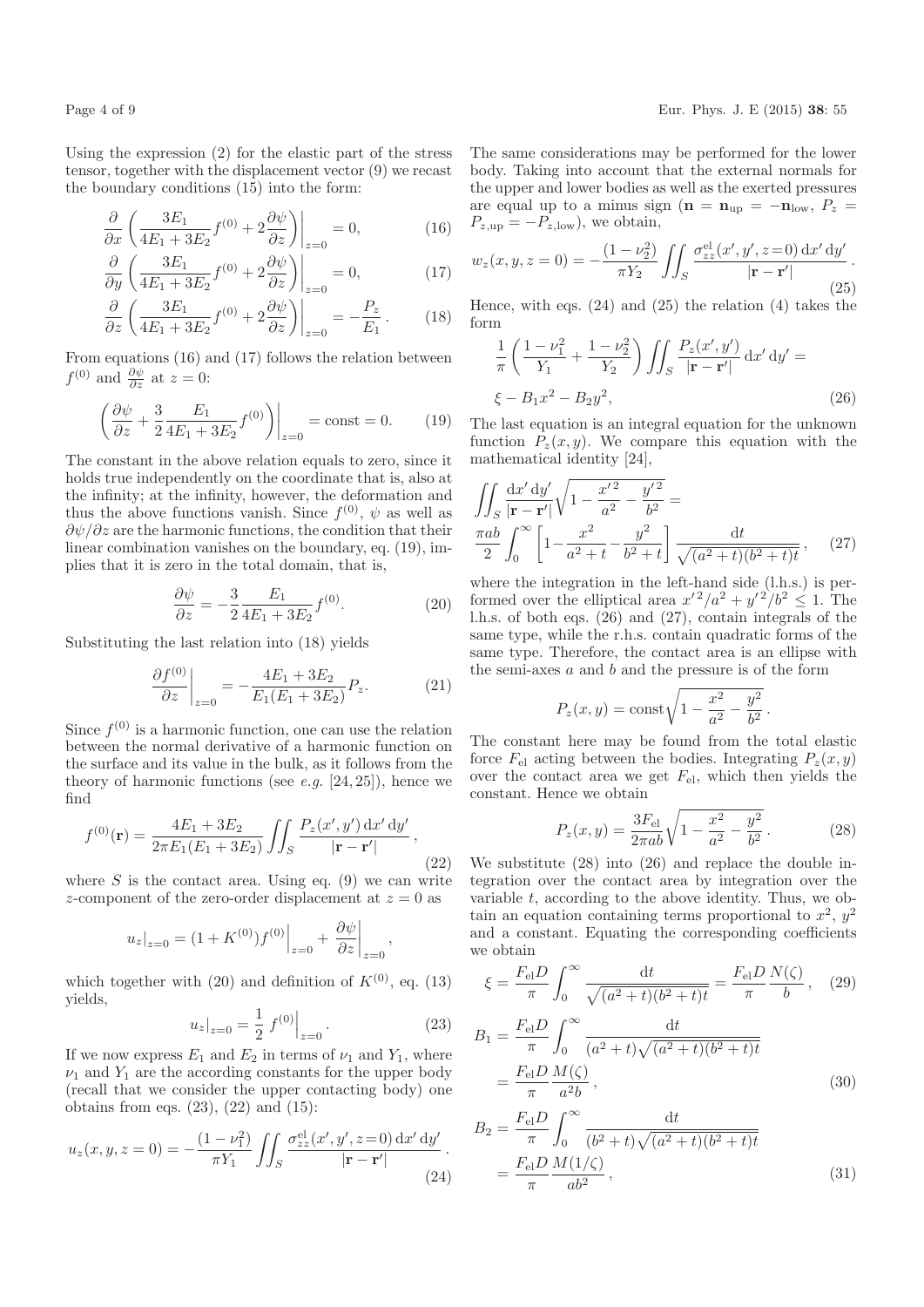Using the expression (2) for the elastic part of the stress tensor, together with the displacement vector (9) we recast the boundary conditions (15) into the form:

$$
\frac{\partial}{\partial x} \left( \frac{3E_1}{4E_1 + 3E_2} f^{(0)} + 2 \frac{\partial \psi}{\partial z} \right) \Big|_{z=0} = 0, \tag{16}
$$

$$
\frac{\partial}{\partial y} \left( \frac{3E_1}{4E_1 + 3E_2} f^{(0)} + 2 \frac{\partial \psi}{\partial z} \right) \Big|_{z=0} = 0, \tag{17}
$$

$$
\frac{\partial}{\partial z} \left( \frac{3E_1}{4E_1 + 3E_2} f^{(0)} + 2 \frac{\partial \psi}{\partial z} \right) \Big|_{z=0} = -\frac{P_z}{E_1} \,. \tag{18}
$$

From equations (16) and (17) follows the relation between  $f^{(0)}$  and  $\frac{\partial \psi}{\partial z}$  at  $z=0$ :

$$
\left. \left( \frac{\partial \psi}{\partial z} + \frac{3}{2} \frac{E_1}{4E_1 + 3E_2} f^{(0)} \right) \right|_{z=0} = \text{const} = 0. \tag{19}
$$

The constant in the above relation equals to zero, since it holds true independently on the coordinate that is, also at the infinity; at the infinity, however, the deformation and thus the above functions vanish. Since  $f^{(0)}$ ,  $\psi$  as well as  $\partial \psi / \partial z$  are the harmonic functions, the condition that their linear combination vanishes on the boundary, eq. (19), implies that it is zero in the total domain, that is,

$$
\frac{\partial \psi}{\partial z} = -\frac{3}{2} \frac{E_1}{4E_1 + 3E_2} f^{(0)}.
$$
 (20)

Substituting the last relation into (18) yields

$$
\left. \frac{\partial f^{(0)}}{\partial z} \right|_{z=0} = -\frac{4E_1 + 3E_2}{E_1(E_1 + 3E_2)} P_z. \tag{21}
$$

Since  $f^{(0)}$  is a harmonic function, one can use the relation between the normal derivative of a harmonic function on the surface and its value in the bulk, as it follows from the theory of harmonic functions (see e.g.  $[24, 25]$ ), hence we find

$$
f^{(0)}(\mathbf{r}) = \frac{4E_1 + 3E_2}{2\pi E_1(E_1 + 3E_2)} \iint_S \frac{P_z(x', y') \, dx' \, dy'}{|\mathbf{r} - \mathbf{r}'|},
$$
\n(22)

where  $S$  is the contact area. Using eq. (9) we can write z-component of the zero-order displacement at  $z = 0$  as

$$
u_z|_{z=0} = (1 + K^{(0)})f^{(0)}|_{z=0} + \frac{\partial \psi}{\partial z}|_{z=0},
$$

which together with (20) and definition of  $K^{(0)}$ , eq. (13) yields,

$$
u_z|_{z=0} = \frac{1}{2} f^{(0)}|_{z=0}.
$$
 (23)

If we now express  $E_1$  and  $E_2$  in terms of  $\nu_1$  and  $Y_1$ , where  $\nu_1$  and  $Y_1$  are the according constants for the upper body (recall that we consider the upper contacting body) one obtains from eqs.  $(23)$ ,  $(22)$  and  $(15)$ :

$$
u_z(x, y, z = 0) = -\frac{(1 - \nu_1^2)}{\pi Y_1} \iint_S \frac{\sigma_{zz}^{\text{el}}(x', y', z = 0) \, dx' \, dy'}{|\mathbf{r} - \mathbf{r}'|}.
$$
\n(24)

The same considerations may be performed for the lower body. Taking into account that the external normals for the upper and lower bodies as well as the exerted pressures are equal up to a minus sign ( $\mathbf{n} = \mathbf{n}_{\text{up}} = -\mathbf{n}_{\text{low}}$ ,  $P_z =$  $P_{z,up} = -P_{z,low}$ , we obtain,

$$
w_z(x, y, z = 0) = -\frac{(1 - \nu_2^2)}{\pi Y_2} \iint_S \frac{\sigma_{zz}^{\text{el}}(x', y', z = 0) \, dx' \, dy'}{|\mathbf{r} - \mathbf{r}'|}.
$$
\n(25)

Hence, with eqs.  $(24)$  and  $(25)$  the relation  $(4)$  takes the form

$$
\frac{1}{\pi} \left( \frac{1 - \nu_1^2}{Y_1} + \frac{1 - \nu_2^2}{Y_2} \right) \iint_S \frac{P_z(x', y')}{|\mathbf{r} - \mathbf{r}'|} dx' dy' =
$$
\n
$$
\xi - B_1 x^2 - B_2 y^2,
$$
\n(26)

The last equation is an integral equation for the unknown function  $P_z(x, y)$ . We compare this equation with the mathematical identity [24],

$$
\iint_{S} \frac{\mathrm{d}x' \, \mathrm{d}y'}{|\mathbf{r} - \mathbf{r}'|} \sqrt{1 - \frac{x'^2}{a^2} - \frac{y'^2}{b^2}} = \frac{\pi ab}{2} \int_{0}^{\infty} \left[ 1 - \frac{x^2}{a^2 + t} - \frac{y^2}{b^2 + t} \right] \frac{\mathrm{d}t}{\sqrt{(a^2 + t)(b^2 + t)t}}, \quad (27)
$$

where the integration in the left-hand side (l.h.s.) is performed over the elliptical area  $x'^2/a^2 + y'^2/b^2 \le 1$ . The l.h.s. of both eqs. (26) and (27), contain integrals of the same type, while the r.h.s. contain quadratic forms of the same type. Therefore, the contact area is an ellipse with the semi-axes  $a$  and  $b$  and the pressure is of the form

$$
P_z(x, y) = \text{const} \sqrt{1 - \frac{x^2}{a^2} - \frac{y^2}{b^2}}.
$$

The constant here may be found from the total elastic force  $F<sub>el</sub>$  acting between the bodies. Integrating  $P<sub>z</sub>(x, y)$ over the contact area we get  $F_{el}$ , which then yields the constant. Hence we obtain

$$
P_z(x,y) = \frac{3F_{\rm el}}{2\pi ab} \sqrt{1 - \frac{x^2}{a^2} - \frac{y^2}{b^2}}.
$$
 (28)

We substitute (28) into (26) and replace the double integration over the contact area by integration over the variable  $t$ , according to the above identity. Thus, we obtain an equation containing terms proportional to  $x^2$ ,  $y^2$ and a constant. Equating the corresponding coefficients we obtain

$$
\xi = \frac{F_{\rm el}D}{\pi} \int_0^\infty \frac{\mathrm{d}t}{\sqrt{(a^2+t)(b^2+t)t}} = \frac{F_{\rm el}D}{\pi} \frac{N(\zeta)}{b}, \quad (29)
$$

$$
B_1 = \frac{F_{\rm el}D}{\pi} \int_0^\infty \frac{\mathrm{d}t}{(a^2 + t)\sqrt{(a^2 + t)(b^2 + t)t}} = \frac{F_{\rm el}D}{\pi} \frac{M(\zeta)}{a^2 b},
$$
(30)

$$
B_2 = \frac{F_{\rm el}D}{\pi} \int_0^\infty \frac{\mathrm{d}t}{(b^2 + t)\sqrt{(a^2 + t)(b^2 + t)t}} = \frac{F_{\rm el}D}{\pi} \frac{M(1/\zeta)}{ab^2},
$$
(31)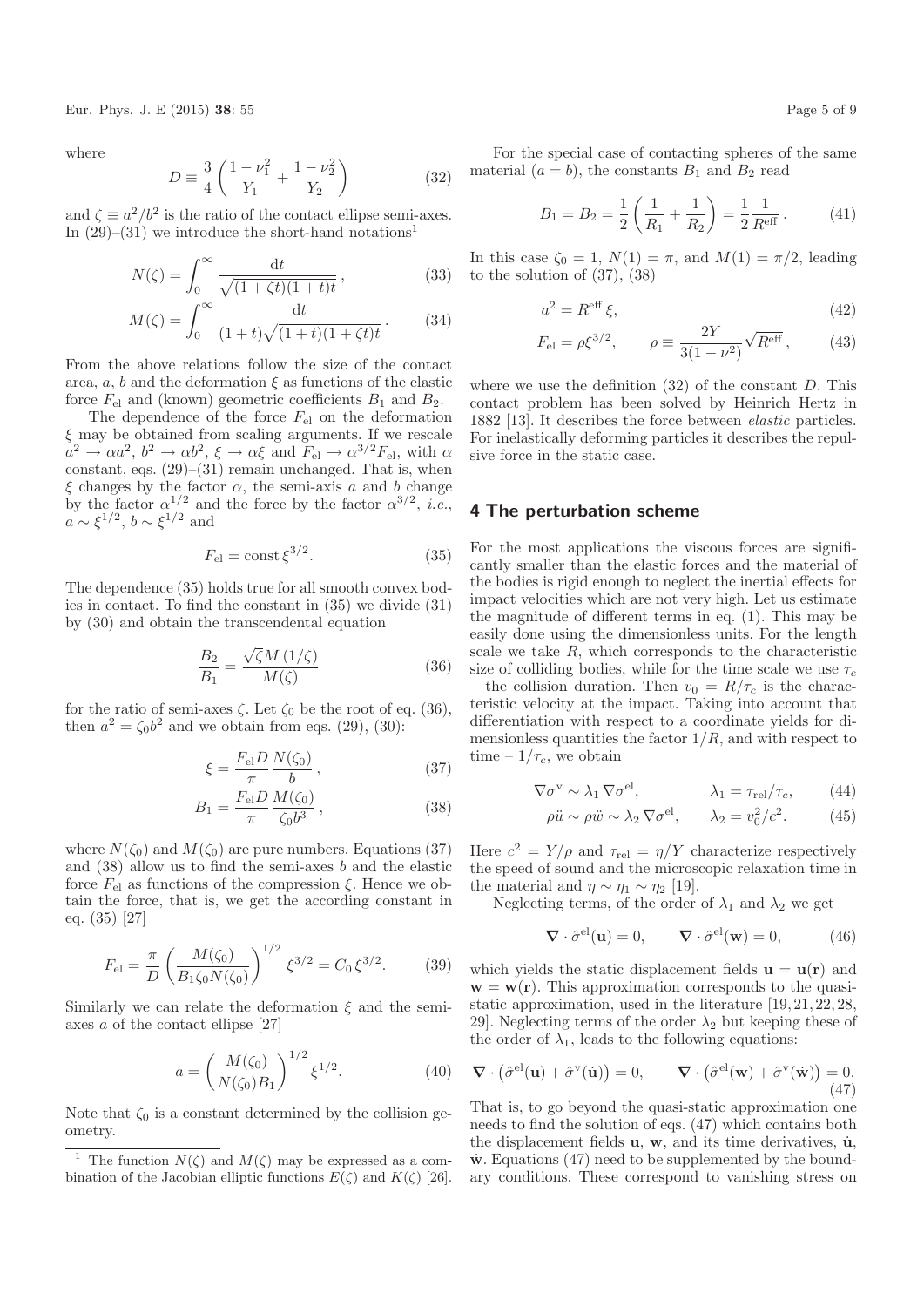Eur. Phys. J. E (2015) 38: 55 Page 5 of 9

where

$$
D = \frac{3}{4} \left( \frac{1 - \nu_1^2}{Y_1} + \frac{1 - \nu_2^2}{Y_2} \right)
$$
 (32)

and  $\zeta \equiv a^2/b^2$  is the ratio of the contact ellipse semi-axes. In  $(29)-(31)$  we introduce the short-hand notations<sup>1</sup>

$$
N(\zeta) = \int_0^\infty \frac{\mathrm{d}t}{\sqrt{(1+\zeta t)(1+t)t}},\tag{33}
$$

$$
M(\zeta) = \int_0^\infty \frac{\mathrm{d}t}{(1+t)\sqrt{(1+t)(1+\zeta t)}t} \,. \tag{34}
$$

From the above relations follow the size of the contact area, a, b and the deformation  $\xi$  as functions of the elastic force  $F_{\text{el}}$  and (known) geometric coefficients  $B_1$  and  $B_2$ .

The dependence of the force  $F_{el}$  on the deformation  $\xi$  may be obtained from scaling arguments. If we rescale  $a^2 \to \alpha a^2$ ,  $b^2 \to \alpha b^2$ ,  $\xi \to \alpha \xi$  and  $F_{\rm el} \to \alpha^{3/2} F_{\rm el}$ , with  $\alpha$ constant, eqs. (29)–(31) remain unchanged. That is, when  $\xi$  changes by the factor  $\alpha$ , the semi-axis a and b change by the factor  $\alpha^{1/2}$  and the force by the factor  $\alpha^{3/2}$ , *i.e.*,  $a \sim \xi^{1/2}, b \sim \xi^{1/2}$  and

$$
F_{\rm el} = \text{const} \,\xi^{3/2}.\tag{35}
$$

The dependence (35) holds true for all smooth convex bodies in contact. To find the constant in (35) we divide (31) by (30) and obtain the transcendental equation

$$
\frac{B_2}{B_1} = \frac{\sqrt{\zeta}M\left(1/\zeta\right)}{M(\zeta)}\tag{36}
$$

for the ratio of semi-axes  $\zeta$ . Let  $\zeta_0$  be the root of eq. (36), then  $a^2 = \zeta_0 b^2$  and we obtain from eqs. (29), (30):

$$
\xi = \frac{F_{\rm el} D}{\pi} \frac{N(\zeta_0)}{b} \,,\tag{37}
$$

$$
B_1 = \frac{F_{\rm el} D}{\pi} \frac{M(\zeta_0)}{\zeta_0 b^3},\tag{38}
$$

where  $N(\zeta_0)$  and  $M(\zeta_0)$  are pure numbers. Equations (37) and  $(38)$  allow us to find the semi-axes b and the elastic force  $F_{\text{el}}$  as functions of the compression  $\xi$ . Hence we obtain the force, that is, we get the according constant in eq. (35) [27]

$$
F_{\rm el} = \frac{\pi}{D} \left( \frac{M(\zeta_0)}{B_1 \zeta_0 N(\zeta_0)} \right)^{1/2} \xi^{3/2} = C_0 \xi^{3/2}.
$$
 (39)

Similarly we can relate the deformation  $\xi$  and the semiaxes a of the contact ellipse [27]

$$
a = \left(\frac{M(\zeta_0)}{N(\zeta_0)B_1}\right)^{1/2} \xi^{1/2}.
$$
 (40)

Note that  $\zeta_0$  is a constant determined by the collision geometry.

For the special case of contacting spheres of the same material  $(a = b)$ , the constants  $B_1$  and  $B_2$  read

$$
B_1 = B_2 = \frac{1}{2} \left( \frac{1}{R_1} + \frac{1}{R_2} \right) = \frac{1}{2} \frac{1}{R^{\text{eff}}}.
$$
 (41)

In this case  $\zeta_0 = 1$ ,  $N(1) = \pi$ , and  $M(1) = \pi/2$ , leading to the solution of (37), (38)

$$
a^2 = R^{\text{eff}}\,\xi,\tag{42}
$$

$$
F_{\rm el} = \rho \xi^{3/2}, \qquad \rho \equiv \frac{2Y}{3(1 - \nu^2)} \sqrt{R^{\rm eff}},
$$
 (43)

where we use the definition  $(32)$  of the constant D. This contact problem has been solved by Heinrich Hertz in 1882 [13]. It describes the force between elastic particles. For inelastically deforming particles it describes the repulsive force in the static case.

#### 4 The perturbation scheme

For the most applications the viscous forces are significantly smaller than the elastic forces and the material of the bodies is rigid enough to neglect the inertial effects for impact velocities which are not very high. Let us estimate the magnitude of different terms in eq. (1). This may be easily done using the dimensionless units. For the length scale we take R, which corresponds to the characteristic size of colliding bodies, while for the time scale we use  $\tau_c$ —the collision duration. Then  $v_0 = R/\tau_c$  is the characteristic velocity at the impact. Taking into account that differentiation with respect to a coordinate yields for dimensionless quantities the factor  $1/R$ , and with respect to time –  $1/\tau_c$ , we obtain

$$
\nabla \sigma^{\mathbf{v}} \sim \lambda_1 \, \nabla \sigma^{\mathbf{el}}, \qquad \lambda_1 = \tau_{\mathbf{rel}} / \tau_c, \qquad (44)
$$

$$
\rho \ddot{u} \sim \rho \ddot{w} \sim \lambda_2 \, \nabla \sigma^{\text{el}}, \qquad \lambda_2 = v_0^2/c^2. \tag{45}
$$

Here  $c^2 = Y/\rho$  and  $\tau_{rel} = \eta/Y$  characterize respectively the speed of sound and the microscopic relaxation time in the material and  $\eta \sim \eta_1 \sim \eta_2$  [19].

Neglecting terms, of the order of  $\lambda_1$  and  $\lambda_2$  we get

$$
\nabla \cdot \hat{\sigma}^{\text{el}}(\mathbf{u}) = 0, \qquad \nabla \cdot \hat{\sigma}^{\text{el}}(\mathbf{w}) = 0,
$$
 (46)

which yields the static displacement fields  $\mathbf{u} = \mathbf{u}(\mathbf{r})$  and  $\mathbf{w} = \mathbf{w}(\mathbf{r})$ . This approximation corresponds to the quasistatic approximation, used in the literature [19, 21, 22, 28, 29. Neglecting terms of the order  $\lambda_2$  but keeping these of the order of  $\lambda_1$ , leads to the following equations:

$$
\nabla \cdot (\hat{\sigma}^{\text{el}}(\mathbf{u}) + \hat{\sigma}^{\text{v}}(\dot{\mathbf{u}})) = 0, \qquad \nabla \cdot (\hat{\sigma}^{\text{el}}(\mathbf{w}) + \hat{\sigma}^{\text{v}}(\dot{\mathbf{w}})) = 0.
$$
\n(47)

That is, to go beyond the quasi-static approximation one needs to find the solution of eqs. (47) which contains both the displacement fields  $\mathbf{u}, \mathbf{w}$ , and its time derivatives,  $\dot{\mathbf{u}}$ ,  $\dot{\mathbf{w}}$ . Equations (47) need to be supplemented by the boundary conditions. These correspond to vanishing stress on

The function  $N(\zeta)$  and  $M(\zeta)$  may be expressed as a combination of the Jacobian elliptic functions  $E(\zeta)$  and  $K(\zeta)$  [26].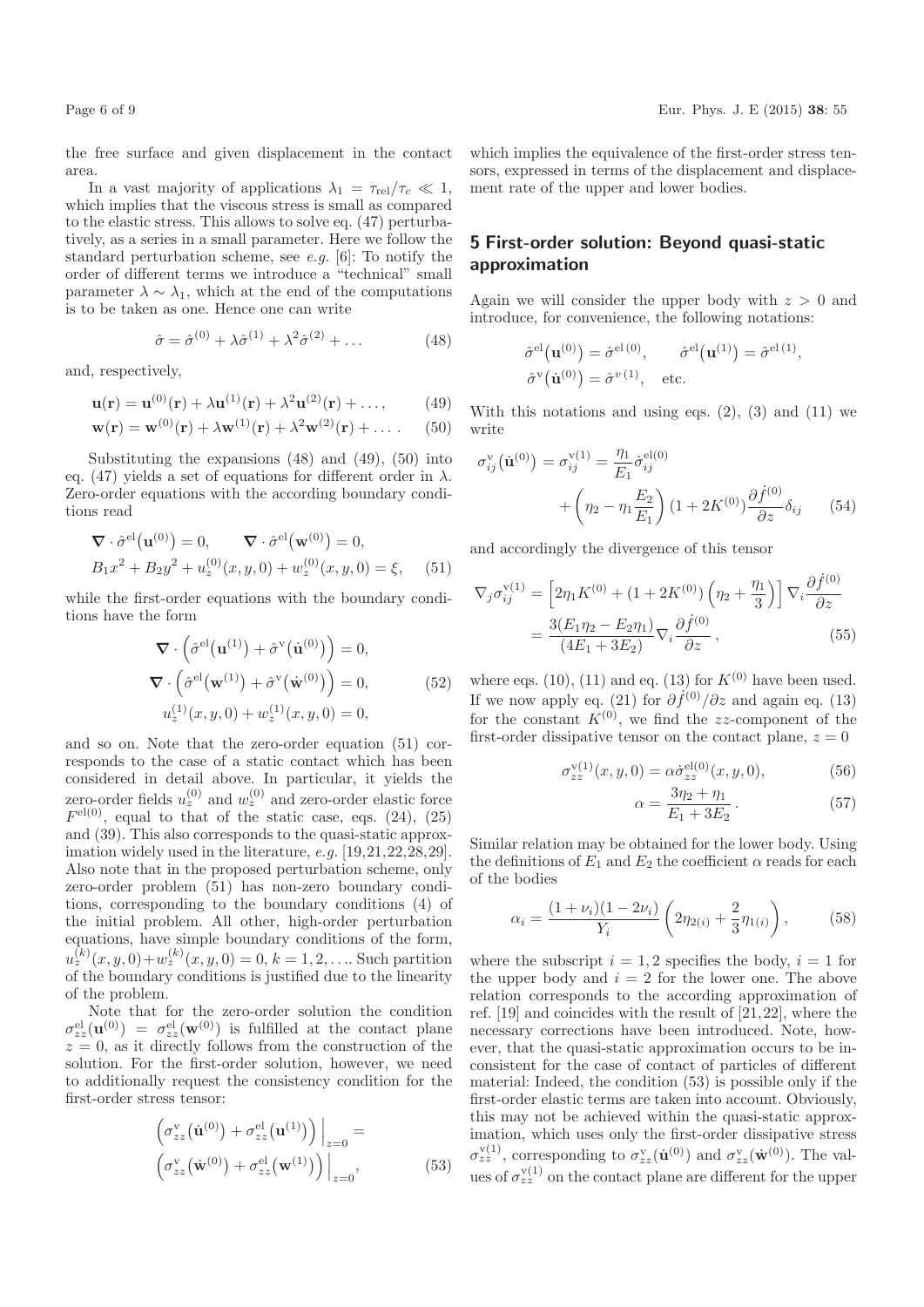the free surface and given displacement in the contact area.

In a vast majority of applications  $\lambda_1 = \tau_{rel}/\tau_c \ll 1$ , which implies that the viscous stress is small as compared to the elastic stress. This allows to solve eq. (47) perturbatively, as a series in a small parameter. Here we follow the standard perturbation scheme, see e.g. [6]: To notify the order of different terms we introduce a "technical" small parameter  $\lambda \sim \lambda_1$ , which at the end of the computations is to be taken as one. Hence one can write

$$
\hat{\sigma} = \hat{\sigma}^{(0)} + \lambda \hat{\sigma}^{(1)} + \lambda^2 \hat{\sigma}^{(2)} + \dots \tag{48}
$$

and, respectively,

$$
\mathbf{u}(\mathbf{r}) = \mathbf{u}^{(0)}(\mathbf{r}) + \lambda \mathbf{u}^{(1)}(\mathbf{r}) + \lambda^2 \mathbf{u}^{(2)}(\mathbf{r}) + \dots,
$$
 (49)

$$
\mathbf{w}(\mathbf{r}) = \mathbf{w}^{(0)}(\mathbf{r}) + \lambda \mathbf{w}^{(1)}(\mathbf{r}) + \lambda^2 \mathbf{w}^{(2)}(\mathbf{r}) + \dots
$$
 (50)

Substituting the expansions (48) and (49), (50) into eq. (47) yields a set of equations for different order in  $\lambda$ . Zero-order equations with the according boundary conditions read

$$
\nabla \cdot \hat{\sigma}^{\text{el}}(\mathbf{u}^{(0)}) = 0, \qquad \nabla \cdot \hat{\sigma}^{\text{el}}(\mathbf{w}^{(0)}) = 0,
$$
  
\n
$$
B_1 x^2 + B_2 y^2 + u_z^{(0)}(x, y, 0) + w_z^{(0)}(x, y, 0) = \xi, \qquad (51)
$$

while the first-order equations with the boundary conditions have the form

$$
\nabla \cdot \left( \hat{\sigma}^{\text{el}}(\mathbf{u}^{(1)}) + \hat{\sigma}^{\text{v}}(\dot{\mathbf{u}}^{(0)}) \right) = 0,
$$
  

$$
\nabla \cdot \left( \hat{\sigma}^{\text{el}}(\mathbf{w}^{(1)}) + \hat{\sigma}^{\text{v}}(\dot{\mathbf{w}}^{(0)}) \right) = 0,
$$
  

$$
u_z^{(1)}(x, y, 0) + w_z^{(1)}(x, y, 0) = 0,
$$
 (52)

and so on. Note that the zero-order equation (51) corresponds to the case of a static contact which has been considered in detail above. In particular, it yields the zero-order fields  $u_z^{(0)}$  and  $w_z^{(0)}$  and zero-order elastic force  $F<sup>el(0)</sup>$ , equal to that of the static case, eqs. (24), (25) and (39). This also corresponds to the quasi-static approximation widely used in the literature, e.g. [19,21,22,28,29]. Also note that in the proposed perturbation scheme, only zero-order problem (51) has non-zero boundary conditions, corresponding to the boundary conditions (4) of the initial problem. All other, high-order perturbation equations, have simple boundary conditions of the form,  $u_z^{(k)}(x, y, 0) + w_z^{(k)}(x, y, 0) = 0, k = 1, 2, \dots$  Such partition of the boundary conditions is justified due to the linearity of the problem.

Note that for the zero-order solution the condition  $\sigma_{zz}^{\text{el}}(\mathbf{u}^{(0)}) = \sigma_{zz}^{\text{el}}(\mathbf{w}^{(0)})$  is fulfilled at the contact plane  $z = 0$ , as it directly follows from the construction of the solution. For the first-order solution, however, we need to additionally request the consistency condition for the first-order stress tensor:

$$
\left(\sigma_{zz}^{\mathbf{v}}\left(\dot{\mathbf{u}}^{(0)}\right) + \sigma_{zz}^{\mathbf{el}}\left(\mathbf{u}^{(1)}\right)\right)\Big|_{z=0} = \left(\sigma_{zz}^{\mathbf{v}}\left(\dot{\mathbf{w}}^{(0)}\right) + \sigma_{zz}^{\mathbf{el}}\left(\mathbf{w}^{(1)}\right)\right)\Big|_{z=0},\tag{53}
$$

which implies the equivalence of the first-order stress tensors, expressed in terms of the displacement and displacement rate of the upper and lower bodies.

# 5 First-order solution: Beyond quasi-static approximation

Again we will consider the upper body with  $z > 0$  and introduce, for convenience, the following notations:

$$
\hat{\sigma}^{\text{el}}(\mathbf{u}^{(0)}) = \hat{\sigma}^{\text{el}(0)}, \qquad \hat{\sigma}^{\text{el}}(\mathbf{u}^{(1)}) = \hat{\sigma}^{\text{el}(1)},
$$
  

$$
\hat{\sigma}^{\text{v}}(\dot{\mathbf{u}}^{(0)}) = \hat{\sigma}^{\text{v}(1)}, \quad \text{etc.}
$$

With this notations and using eqs.  $(2)$ ,  $(3)$  and  $(11)$  we write

$$
\sigma_{ij}^{\mathbf{v}}(\dot{\mathbf{u}}^{(0)}) = \sigma_{ij}^{\mathbf{v}(1)} = \frac{\eta_1}{E_1} \dot{\sigma}_{ij}^{\text{el}(0)} + \left(\eta_2 - \eta_1 \frac{E_2}{E_1}\right) (1 + 2K^{(0)}) \frac{\partial \dot{f}^{(0)}}{\partial z} \delta_{ij} \tag{54}
$$

and accordingly the divergence of this tensor

$$
\nabla_j \sigma_{ij}^{\mathbf{v}(1)} = \left[ 2\eta_1 K^{(0)} + (1 + 2K^{(0)}) \left( \eta_2 + \frac{\eta_1}{3} \right) \right] \nabla_i \frac{\partial \dot{f}^{(0)}}{\partial z}
$$

$$
= \frac{3(E_1 \eta_2 - E_2 \eta_1)}{(4E_1 + 3E_2)} \nabla_i \frac{\partial \dot{f}^{(0)}}{\partial z}, \tag{55}
$$

where eqs. (10), (11) and eq. (13) for  $K^{(0)}$  have been used. If we now apply eq. (21) for  $\partial f^{(0)}/\partial z$  and again eq. (13) for the constant  $K^{(0)}$ , we find the zz-component of the first-order dissipative tensor on the contact plane,  $z = 0$ 

$$
\sigma_{zz}^{\text{v}(1)}(x, y, 0) = \alpha \dot{\sigma}_{zz}^{\text{el}(0)}(x, y, 0), \tag{56}
$$

$$
\alpha = \frac{3\eta_2 + \eta_1}{E_1 + 3E_2} \,. \tag{57}
$$

Similar relation may be obtained for the lower body. Using the definitions of  $E_1$  and  $E_2$  the coefficient  $\alpha$  reads for each of the bodies

$$
\alpha_i = \frac{(1 + \nu_i)(1 - 2\nu_i)}{Y_i} \left(2\eta_{2(i)} + \frac{2}{3}\eta_{1(i)}\right),\tag{58}
$$

where the subscript  $i = 1, 2$  specifies the body,  $i = 1$  for the upper body and  $i = 2$  for the lower one. The above relation corresponds to the according approximation of ref. [19] and coincides with the result of [21,22], where the necessary corrections have been introduced. Note, however, that the quasi-static approximation occurs to be inconsistent for the case of contact of particles of different material: Indeed, the condition (53) is possible only if the first-order elastic terms are taken into account. Obviously, this may not be achieved within the quasi-static approximation, which uses only the first-order dissipative stress  $\sigma_{zz}^{\text{v}(1)}$ , corresponding to  $\sigma_{zz}^{\text{v}}(\dot{\mathbf{u}}^{(0)})$  and  $\sigma_{zz}^{\text{v}}(\dot{\mathbf{w}}^{(0)})$ . The values of  $\sigma_{zz}^{\text{v}(1)}$  on the contact plane are different for the upper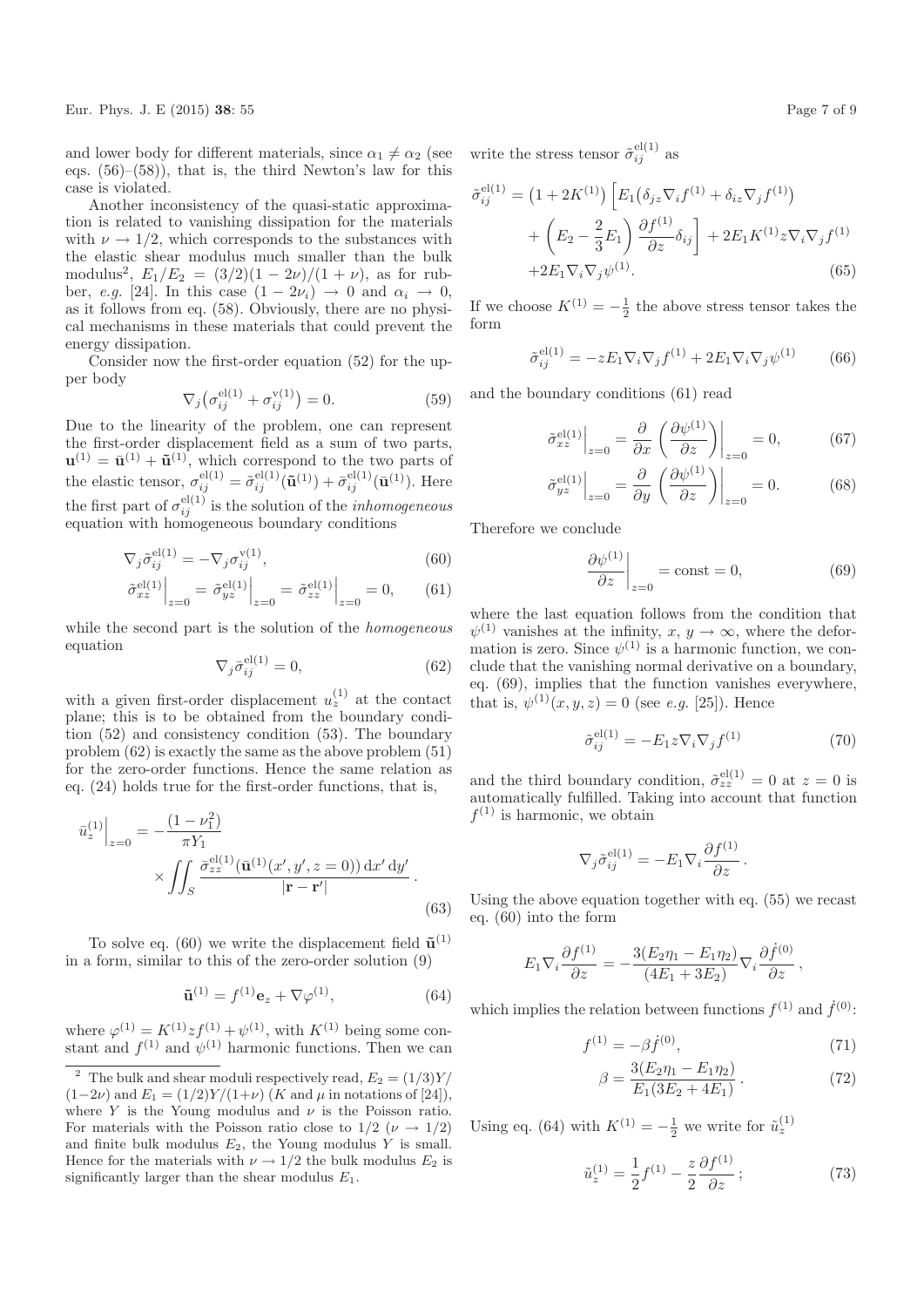Eur. Phys. J. E (2015) 38: 55 Page 7 of 9

and lower body for different materials, since  $\alpha_1 \neq \alpha_2$  (see eqs.  $(56)$ – $(58)$ ), that is, the third Newton's law for this case is violated.

Another inconsistency of the quasi-static approximation is related to vanishing dissipation for the materials with  $\nu \rightarrow 1/2$ , which corresponds to the substances with the elastic shear modulus much smaller than the bulk modulus<sup>2</sup>,  $E_1/E_2 = (3/2)(1 - 2\nu)/(1 + \nu)$ , as for rubber, e.g. [24]. In this case  $(1 - 2\nu_i) \rightarrow 0$  and  $\alpha_i \rightarrow 0$ , as it follows from eq. (58). Obviously, there are no physical mechanisms in these materials that could prevent the energy dissipation.

Consider now the first-order equation (52) for the upper body

$$
\nabla_j \left( \sigma_{ij}^{\text{el}(1)} + \sigma_{ij}^{\text{v}(1)} \right) = 0. \tag{59}
$$

Due to the linearity of the problem, one can represent the first-order displacement field as a sum of two parts,  $\mathbf{u}^{(1)} = \bar{\mathbf{u}}^{(1)} + \tilde{\mathbf{u}}^{(1)}$ , which correspond to the two parts of the elastic tensor,  $\sigma_{ij}^{\text{el}(1)} = \tilde{\sigma}_{ij}^{\text{el}(1)}(\tilde{\mathbf{u}}^{(1)}) + \bar{\sigma}_{ij}^{\text{el}(1)}(\bar{\mathbf{u}}^{(1)})$ . Here the first part of  $\sigma_{ij}^{\text{el}(1)}$  is the solution of the *inhomogeneous* equation with homogeneous boundary conditions

$$
\nabla_j \tilde{\sigma}_{ij}^{\text{el}(1)} = -\nabla_j \sigma_{ij}^{\text{v}(1)},\tag{60}
$$

$$
\left. \tilde{\sigma}_{xz}^{\text{el}(1)} \right|_{z=0} = \left. \tilde{\sigma}_{yz}^{\text{el}(1)} \right|_{z=0} = \left. \tilde{\sigma}_{zz}^{\text{el}(1)} \right|_{z=0} = 0, \qquad (61)
$$

while the second part is the solution of the *homogeneous* equation

$$
\nabla_j \bar{\sigma}_{ij}^{\text{el}(1)} = 0,\tag{62}
$$

with a given first-order displacement  $u_z^{(1)}$  at the contact plane; this is to be obtained from the boundary condition (52) and consistency condition (53). The boundary problem (62) is exactly the same as the above problem (51) for the zero-order functions. Hence the same relation as eq. (24) holds true for the first-order functions, that is,

$$
\bar{u}_z^{(1)}\Big|_{z=0} = -\frac{(1-\nu_1^2)}{\pi Y_1} \times \iint_S \frac{\bar{\sigma}_{zz}^{\text{el}(1)}(\bar{\mathbf{u}}^{(1)}(x', y', z=0)) \, dx' \, dy'}{|\mathbf{r} - \mathbf{r}'|}.
$$
\n(63)

To solve eq. (60) we write the displacement field  $\tilde{\mathbf{u}}^{(1)}$ in a form, similar to this of the zero-order solution (9)

$$
\tilde{\mathbf{u}}^{(1)} = f^{(1)} \mathbf{e}_z + \nabla \varphi^{(1)},\tag{64}
$$

where  $\varphi^{(1)} = K^{(1)} z f^{(1)} + \psi^{(1)}$ , with  $K^{(1)}$  being some constant and  $f^{(1)}$  and  $\psi^{(1)}$  harmonic functions. Then we can

write the stress tensor  $\tilde{\sigma}_{ij}^{\text{el}(1)}$  as

 $\hat{c}$ 

$$
f_{ij}^{\text{el}(1)} = (1 + 2K^{(1)}) \left[ E_1(\delta_{jz} \nabla_i f^{(1)} + \delta_{iz} \nabla_j f^{(1)}) + \left( E_2 - \frac{2}{3} E_1 \right) \frac{\partial f^{(1)}}{\partial z} \delta_{ij} \right] + 2E_1 K^{(1)} z \nabla_i \nabla_j f^{(1)} + 2E_1 \nabla_i \nabla_j \psi^{(1)}.
$$
 (65)

If we choose  $K^{(1)} = -\frac{1}{2}$  the above stress tensor takes the form

$$
\tilde{\sigma}_{ij}^{\text{el}(1)} = -z E_1 \nabla_i \nabla_j f^{(1)} + 2 E_1 \nabla_i \nabla_j \psi^{(1)} \qquad (66)
$$

and the boundary conditions (61) read

$$
\left. \tilde{\sigma}_{xz}^{\text{el}(1)} \right|_{z=0} = \frac{\partial}{\partial x} \left. \left( \frac{\partial \psi^{(1)}}{\partial z} \right) \right|_{z=0} = 0, \tag{67}
$$

$$
\tilde{\sigma}_{yz}^{\text{el}(1)}\Big|_{z=0} = \frac{\partial}{\partial y} \left( \frac{\partial \psi^{(1)}}{\partial z} \right)\Big|_{z=0} = 0. \tag{68}
$$

Therefore we conclude

$$
\left. \frac{\partial \psi^{(1)}}{\partial z} \right|_{z=0} = \text{const} = 0,\tag{69}
$$

where the last equation follows from the condition that  $\psi^{(1)}$  vanishes at the infinity,  $x, y \to \infty$ , where the deformation is zero. Since  $\psi^{(1)}$  is a harmonic function, we conclude that the vanishing normal derivative on a boundary, eq. (69), implies that the function vanishes everywhere, that is,  $\psi^{(1)}(x, y, z) = 0$  (see *e.g.* [25]). Hence

$$
\tilde{\sigma}_{ij}^{\text{el}(1)} = -E_1 z \nabla_i \nabla_j f^{(1)} \tag{70}
$$

and the third boundary condition,  $\tilde{\sigma}_{zz}^{\text{el}(1)} = 0$  at  $z = 0$  is automatically fulfilled. Taking into account that function  $f^{(1)}$  is harmonic, we obtain

$$
\nabla_j \tilde{\sigma}_{ij}^{\text{el}(1)} = -E_1 \nabla_i \frac{\partial f^{(1)}}{\partial z}.
$$

Using the above equation together with eq. (55) we recast eq. (60) into the form

$$
E_1 \nabla_i \frac{\partial f^{(1)}}{\partial z} = -\frac{3(E_2 \eta_1 - E_1 \eta_2)}{(4E_1 + 3E_2)} \nabla_i \frac{\partial \dot{f}^{(0)}}{\partial z},
$$

which implies the relation between functions  $f^{(1)}$  and  $\dot{f}^{(0)}$ :

$$
f^{(1)} = -\beta \dot{f}^{(0)},\tag{71}
$$

$$
\beta = \frac{3(E_2\eta_1 - E_1\eta_2)}{E_1(3E_2 + 4E_1)}.
$$
\n(72)

Using eq. (64) with  $K^{(1)} = -\frac{1}{2}$  we write for  $\tilde{u}_z^{(1)}$ 

$$
\tilde{u}_z^{(1)} = \frac{1}{2} f^{(1)} - \frac{z}{2} \frac{\partial f^{(1)}}{\partial z};\tag{73}
$$

<sup>&</sup>lt;sup>2</sup> The bulk and shear moduli respectively read,  $E_2 = (1/3)Y/$  $(1-2\nu)$  and  $E_1 = (1/2)Y/(1+\nu)$  (K and  $\mu$  in notations of [24]), where Y is the Young modulus and  $\nu$  is the Poisson ratio. For materials with the Poisson ratio close to  $1/2$  ( $\nu \rightarrow 1/2$ ) and finite bulk modulus  $E_2$ , the Young modulus Y is small. Hence for the materials with  $\nu \rightarrow 1/2$  the bulk modulus  $E_2$  is significantly larger than the shear modulus  $E_1$ .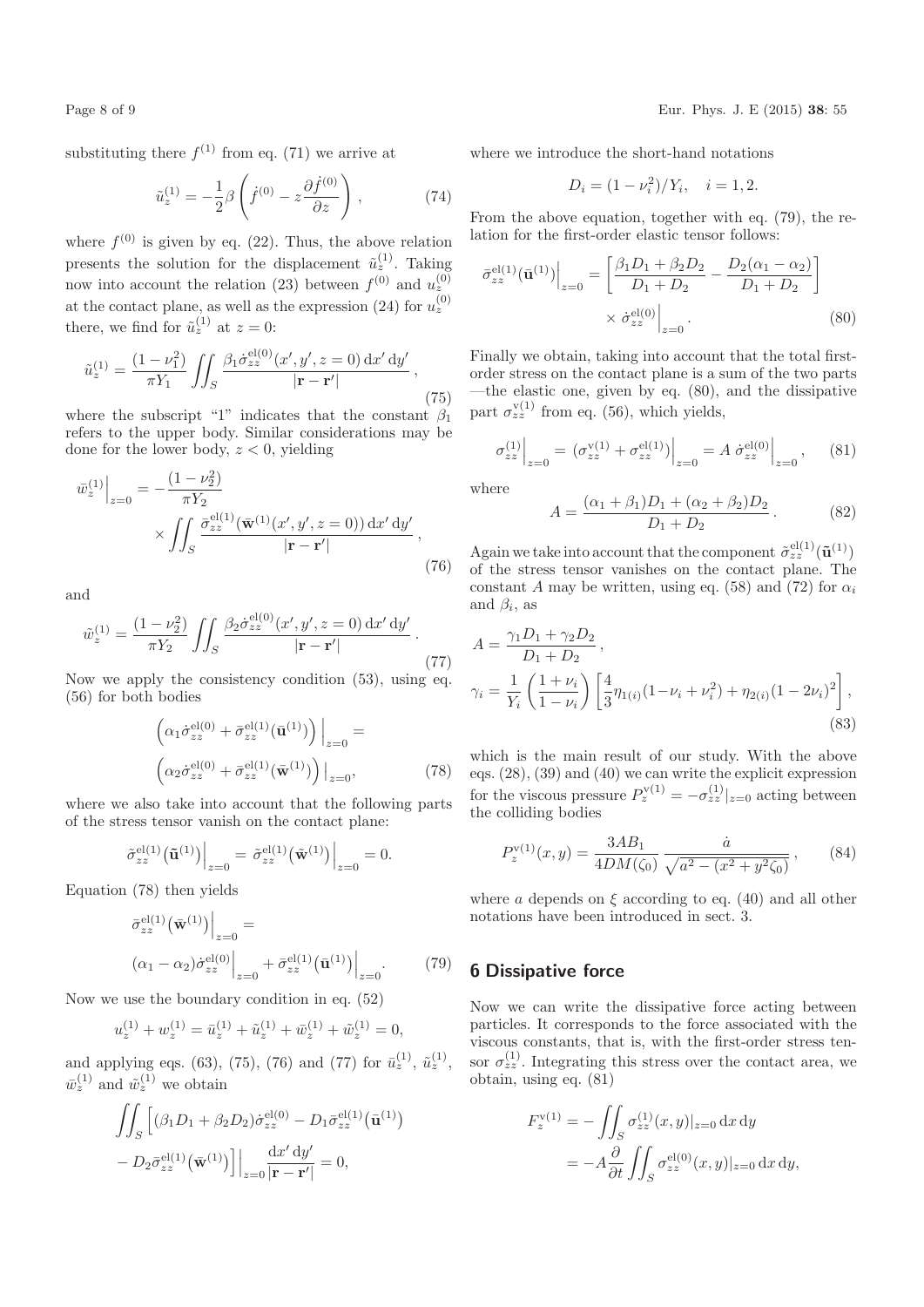substituting there  $f^{(1)}$  from eq. (71) we arrive at

$$
\tilde{u}_z^{(1)} = -\frac{1}{2}\beta \left( \dot{f}^{(0)} - z \frac{\partial \dot{f}^{(0)}}{\partial z} \right),\tag{74}
$$

where  $f^{(0)}$  is given by eq. (22). Thus, the above relation presents the solution for the displacement  $\tilde{u}_z^{(1)}$ . Taking now into account the relation (23) between  $f^{(0)}$  and  $u_z^{(0)}$ at the contact plane, as well as the expression (24) for  $u_z^{(0)}$ there, we find for  $\tilde{u}_z^{(1)}$  at  $z=0$ :

$$
\tilde{u}_z^{(1)} = \frac{(1 - \nu_1^2)}{\pi Y_1} \iint_S \frac{\beta_1 \dot{\sigma}_{zz}^{\text{el}(0)}(x', y', z = 0) \, dx' \, dy'}{|\mathbf{r} - \mathbf{r}'|},\tag{75}
$$

where the subscript "1" indicates that the constant  $\beta_1$ refers to the upper body. Similar considerations may be done for the lower body,  $z < 0$ , yielding

$$
\left.\overline{w}_z^{(1)}\right|_{z=0} = -\frac{(1-\nu_2^2)}{\pi Y_2} \times \iint_S \frac{\overline{\sigma}_{zz}^{\text{el}(1)}(\overline{\mathbf{w}}^{(1)}(x', y', z=0)) \,dx' \,dy'}{|\mathbf{r} - \mathbf{r}'|},\tag{76}
$$

and

$$
\tilde{w}_z^{(1)} = \frac{(1 - \nu_2^2)}{\pi Y_2} \iint_S \frac{\beta_2 \dot{\sigma}_{zz}^{\text{el}(0)}(x', y', z = 0) \, dx' \, dy'}{|\mathbf{r} - \mathbf{r}'|} \,. \tag{77}
$$

Now we apply the consistency condition (53), using eq. (56) for both bodies

$$
\left(\alpha_1 \dot{\sigma}_{zz}^{\text{el}(0)} + \bar{\sigma}_{zz}^{\text{el}(1)}(\bar{\mathbf{u}}^{(1)})\right)\Big|_{z=0} =
$$
\n
$$
\left(\alpha_2 \dot{\sigma}_{zz}^{\text{el}(0)} + \bar{\sigma}_{zz}^{\text{el}(1)}(\bar{\mathbf{w}}^{(1)})\right)\Big|_{z=0},\tag{78}
$$

where we also take into account that the following parts of the stress tensor vanish on the contact plane:

$$
\tilde{\sigma}_{zz}^{\text{el}(1)}(\tilde{\mathbf{u}}^{(1)})\Big|_{z=0} = \tilde{\sigma}_{zz}^{\text{el}(1)}(\tilde{\mathbf{w}}^{(1)})\Big|_{z=0} = 0.
$$

Equation (78) then yields

$$
\left. \begin{aligned} \left. \bar{\sigma}_{zz}^{\text{el}(1)} \left( \bar{\mathbf{w}}^{(1)} \right) \right|_{z=0} &= \\ \left. (\alpha_1 - \alpha_2) \dot{\sigma}_{zz}^{\text{el}(0)} \right|_{z=0} + \bar{\sigma}_{zz}^{\text{el}(1)} \left( \bar{\mathbf{u}}^{(1)} \right) \right|_{z=0}. \end{aligned} \tag{79}
$$

Now we use the boundary condition in eq. (52)

$$
u_z^{(1)} + w_z^{(1)} = \bar{u}_z^{(1)} + \tilde{u}_z^{(1)} + \bar{w}_z^{(1)} + \tilde{w}_z^{(1)} = 0,
$$

and applying eqs. (63), (75), (76) and (77) for  $\bar{u}_z^{(1)}$ ,  $\tilde{u}_z^{(1)}$ ,  $\bar{w}_z^{(1)}$  and  $\tilde{w}_z^{(1)}$  we obtain

$$
\iint_S \left[ (\beta_1 D_1 + \beta_2 D_2) \dot{\sigma}_{zz}^{\text{el}(0)} - D_1 \bar{\sigma}_{zz}^{\text{el}(1)} (\bar{\mathbf{u}}^{(1)}) - D_2 \bar{\sigma}_{zz}^{\text{el}(1)} (\bar{\mathbf{w}}^{(1)}) \right] \Big|_{z=0} \frac{\mathrm{d} x' \, \mathrm{d} y'}{|\mathbf{r} - \mathbf{r}'|} = 0,
$$

where we introduce the short-hand notations

$$
D_i = (1 - \nu_i^2)/Y_i, \quad i = 1, 2.
$$

From the above equation, together with eq. (79), the relation for the first-order elastic tensor follows:

$$
\bar{\sigma}_{zz}^{\text{el}(1)}(\bar{\mathbf{u}}^{(1)})\Big|_{z=0} = \left[\frac{\beta_1 D_1 + \beta_2 D_2}{D_1 + D_2} - \frac{D_2(\alpha_1 - \alpha_2)}{D_1 + D_2}\right] \times \dot{\sigma}_{zz}^{\text{el}(0)}\Big|_{z=0}.
$$
\n(80)

Finally we obtain, taking into account that the total firstorder stress on the contact plane is a sum of the two parts —the elastic one, given by eq. (80), and the dissipative part  $\sigma_{zz}^{\text{v}(1)}$  from eq. (56), which yields,

$$
\sigma_{zz}^{(1)}\Big|_{z=0} = \left(\sigma_{zz}^{v(1)} + \sigma_{zz}^{el(1)}\right)\Big|_{z=0} = A \left.\dot{\sigma}_{zz}^{el(0)}\right|\Big|_{z=0},\tag{81}
$$

where

$$
A = \frac{(\alpha_1 + \beta_1)D_1 + (\alpha_2 + \beta_2)D_2}{D_1 + D_2}.
$$
 (82)

Again we take into account that the component  $\tilde{\sigma}_{zz}^{\text{el}(1)}(\tilde{\mathbf{u}}^{(1)})$ of the stress tensor vanishes on the contact plane. The constant A may be written, using eq. (58) and (72) for  $\alpha_i$ and  $\beta_i$ , as

$$
A = \frac{\gamma_1 D_1 + \gamma_2 D_2}{D_1 + D_2},
$$
  
\n
$$
\gamma_i = \frac{1}{Y_i} \left( \frac{1 + \nu_i}{1 - \nu_i} \right) \left[ \frac{4}{3} \eta_{1(i)} (1 - \nu_i + \nu_i^2) + \eta_{2(i)} (1 - 2\nu_i)^2 \right],
$$
\n(83)

which is the main result of our study. With the above eqs. (28), (39) and (40) we can write the explicit expression for the viscous pressure  $P_z^{\text{v}(1)} = -\sigma_{zz}^{(1)}|_{z=0}$  acting between the colliding bodies

$$
P_z^{\mathbf{v}(1)}(x,y) = \frac{3AB_1}{4DM(\zeta_0)} \frac{\dot{a}}{\sqrt{a^2 - (x^2 + y^2 \zeta_0)}},\qquad(84)
$$

where a depends on  $\xi$  according to eq. (40) and all other notations have been introduced in sect. 3.

# 6 Dissipative force

Now we can write the dissipative force acting between particles. It corresponds to the force associated with the viscous constants, that is, with the first-order stress tensor  $\sigma_{zz}^{(1)}$ . Integrating this stress over the contact area, we obtain, using eq. (81)

$$
F_z^{\mathbf{v}(1)} = -\iint_S \sigma_{zz}^{(1)}(x, y)|_{z=0} \, \mathrm{d}x \, \mathrm{d}y
$$

$$
= -A \frac{\partial}{\partial t} \iint_S \sigma_{zz}^{\mathbf{el}(0)}(x, y)|_{z=0} \, \mathrm{d}x \, \mathrm{d}y,
$$